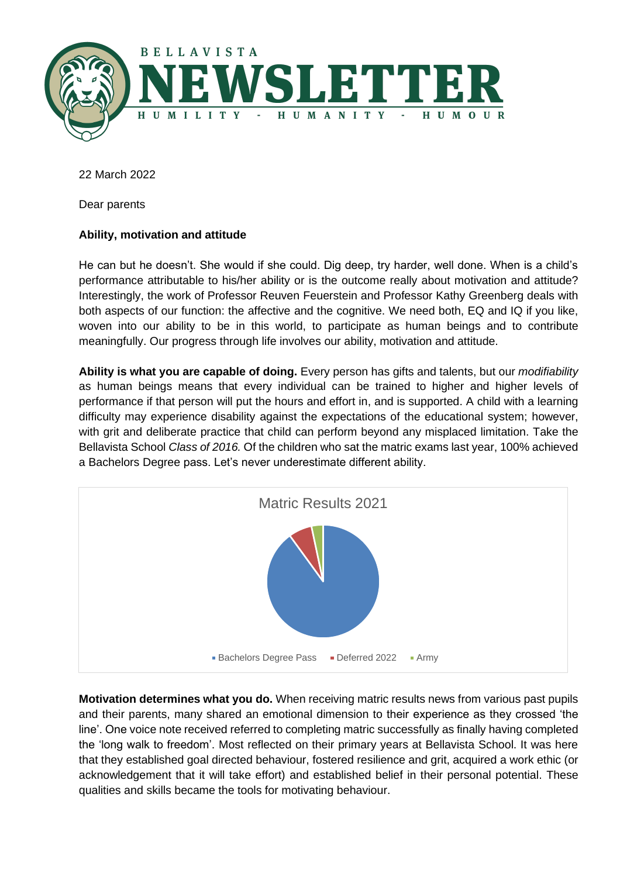

22 March 2022

Dear parents

# **Ability, motivation and attitude**

He can but he doesn't. She would if she could. Dig deep, try harder, well done. When is a child's performance attributable to his/her ability or is the outcome really about motivation and attitude? Interestingly, the work of Professor Reuven Feuerstein and Professor Kathy Greenberg deals with both aspects of our function: the affective and the cognitive. We need both, EQ and IQ if you like, woven into our ability to be in this world, to participate as human beings and to contribute meaningfully. Our progress through life involves our ability, motivation and attitude.

**Ability is what you are capable of doing.** Every person has gifts and talents, but our *modifiability* as human beings means that every individual can be trained to higher and higher levels of performance if that person will put the hours and effort in, and is supported. A child with a learning difficulty may experience disability against the expectations of the educational system; however, with grit and deliberate practice that child can perform beyond any misplaced limitation. Take the Bellavista School *Class of 2016.* Of the children who sat the matric exams last year, 100% achieved a Bachelors Degree pass. Let's never underestimate different ability.



**Motivation determines what you do.** When receiving matric results news from various past pupils and their parents, many shared an emotional dimension to their experience as they crossed 'the line'. One voice note received referred to completing matric successfully as finally having completed the 'long walk to freedom'. Most reflected on their primary years at Bellavista School. It was here that they established goal directed behaviour, fostered resilience and grit, acquired a work ethic (or acknowledgement that it will take effort) and established belief in their personal potential. These qualities and skills became the tools for motivating behaviour.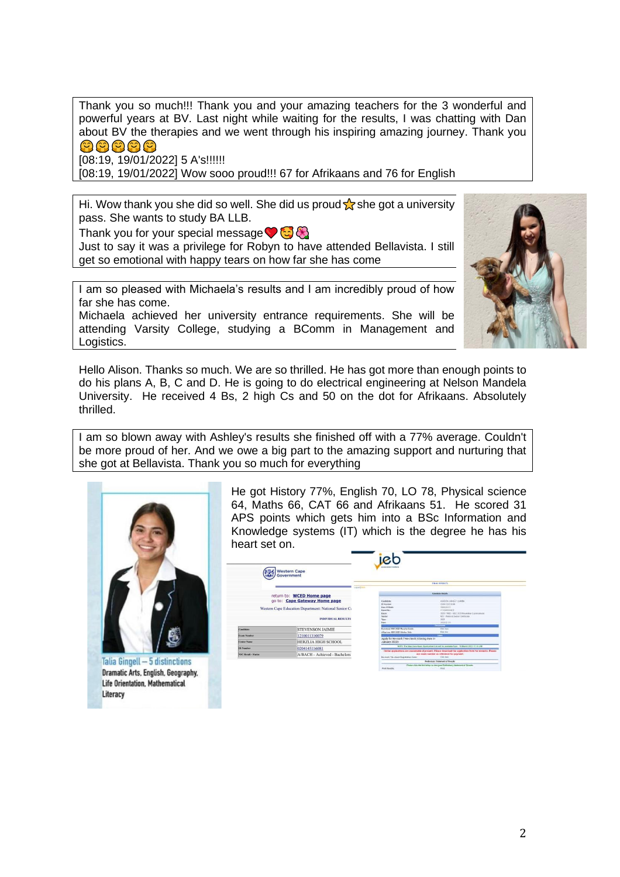Thank you so much!!! Thank you and your amazing teachers for the 3 wonderful and powerful years at BV. Last night while waiting for the results, I was chatting with Dan about BV the therapies and we went through his inspiring amazing journey. Thank you 여여여여여

[08:19, 19/01/2022] 5 A's!!!!!!

[08:19, 19/01/2022] Wow sooo proud!!! 67 for Afrikaans and 76 for English

Hi. Wow thank you she did so well. She did us proud  $\frac{1}{\sqrt{6}}$  she got a university pass. She wants to study BA LLB.

Thank you for your special message  $\bigcirc$   $\bigcirc$ 

Just to say it was a privilege for Robyn to have attended Bellavista. I still get so emotional with happy tears on how far she has come

I am so pleased with Michaela's results and I am incredibly proud of how far she has come.

Michaela achieved her university entrance requirements. She will be attending Varsity College, studying a BComm in Management and Logistics.



Hello Alison. Thanks so much. We are so thrilled. He has got more than enough points to do his plans A, B, C and D. He is going to do electrical engineering at Nelson Mandela University. He received 4 Bs, 2 high Cs and 50 on the dot for Afrikaans. Absolutely thrilled.

I am so blown away with Ashley's results she finished off with a 77% average. Couldn't be more proud of her. And we owe a big part to the amazing support and nurturing that she got at Bellavista. Thank you so much for everything



Talia Gingell - 5 distinctions Dramatic Arts, English, Geography, **Life Orientation, Mathematical** Literacy

He got History 77%, English 70, LO 78, Physical science 64, Maths 66, CAT 66 and Afrikaans 51. He scored 31 APS points which gets him into a BSc Information and Knowledge systems (IT) which is the degree he has his heart set on.

| Western Cape<br>Government                                                         |                               | <b>ANARRAINANT INCH</b>                     |                                                                                                                                                           |  |
|------------------------------------------------------------------------------------|-------------------------------|---------------------------------------------|-----------------------------------------------------------------------------------------------------------------------------------------------------------|--|
|                                                                                    |                               | Logist Limit                                | <b>FINAL RESIDERS</b>                                                                                                                                     |  |
|                                                                                    |                               |                                             | Contabia Details                                                                                                                                          |  |
| return to: WCED Home page<br>go to: Cape Gateway Home page                         |                               | Condition                                   | HERION AIRCOVERANNE                                                                                                                                       |  |
|                                                                                    |                               | <b>19 Norsham</b>                           | ISBN 03225008                                                                                                                                             |  |
| Western Cape Education Department: National Senior Co<br><b>INDIVIDUAL RESULTS</b> |                               | Data Of Betty                               | 20110512                                                                                                                                                  |  |
|                                                                                    |                               | Fase: No.                                   | <b>FEMALEMENT</b>                                                                                                                                         |  |
|                                                                                    |                               | Eases                                       | DEED VAND - NEC 2821 November Economistant                                                                                                                |  |
|                                                                                    |                               | Sider<br>Vast.                              | ASC-Natural Serie GetScaw<br><b>SEE</b>                                                                                                                   |  |
|                                                                                    |                               | Dirks                                       | SCELUL-18                                                                                                                                                 |  |
|                                                                                    |                               |                                             | <b><i><u>Ibertrues</u></i></b>                                                                                                                            |  |
| <b>Candidate</b>                                                                   | <b>STEVENSON JAIMIE</b>       | Download MIC 2021 Renalty Dutch             | Click house                                                                                                                                               |  |
|                                                                                    |                               | Affasi non NHS 2023 Iditurion Civic         | <b>Black May</b>                                                                                                                                          |  |
| <b>Exam Number</b>                                                                 | 1210011310079                 |                                             | <b>Side</b>                                                                                                                                               |  |
| <b>Center Name</b>                                                                 | <b>HERZLIA HIGH SCHOOL</b>    | January 2022):                              | Apply for Re-mark / Re-check (Closing Date 31)                                                                                                            |  |
| <b>ID Namber</b>                                                                   | 0204145116081                 |                                             | NOTE: The May/Jane Econ, Application Link will be available from - 15 March 2022 67-55 AM                                                                 |  |
| NSC Result - Status                                                                | A/BACH - Achieved - Bachelors |                                             | Online applications are crossolidate at present. Please download the application form for revealer. Please<br>use exam rearder an reference for psycoset. |  |
|                                                                                    |                               | <b>Re-mark / Re-shock Registration Form</b> | Click have                                                                                                                                                |  |
|                                                                                    |                               |                                             | Pelesinay Streeted of Fernits                                                                                                                             |  |
|                                                                                    |                               |                                             | Please clair the last below to view your Preferance Statement of Results.                                                                                 |  |
|                                                                                    |                               | <b>Think Research</b>                       | <b>Truck</b>                                                                                                                                              |  |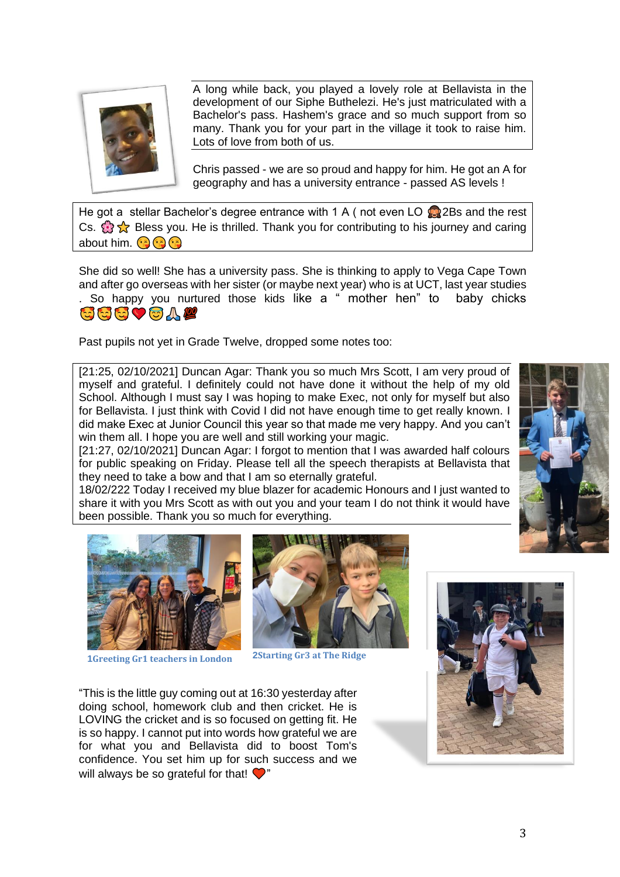

A long while back, you played a lovely role at Bellavista in the development of our Siphe Buthelezi. He's just matriculated with a Bachelor's pass. Hashem's grace and so much support from so many. Thank you for your part in the village it took to raise him. Lots of love from both of us.

Chris passed - we are so proud and happy for him. He got an A for geography and has a university entrance - passed AS levels !

He got a stellar Bachelor's degree entrance with 1 A (not even LO  $\bullet$  2Bs and the rest Cs.  $\mathbb{R}$  Sess you. He is thrilled. Thank you for contributing to his journey and caring about him. **a a** 

She did so well! She has a university pass. She is thinking to apply to Vega Cape Town and after go overseas with her sister (or maybe next year) who is at UCT, last year studies . So happy you nurtured those kids like a " mother hen" to baby chicks SSSVOAL

Past pupils not yet in Grade Twelve, dropped some notes too:

[21:25, 02/10/2021] Duncan Agar: Thank you so much Mrs Scott, I am very proud of myself and grateful. I definitely could not have done it without the help of my old School. Although I must say I was hoping to make Exec, not only for myself but also for Bellavista. I just think with Covid I did not have enough time to get really known. I did make Exec at Junior Council this year so that made me very happy. And you can't win them all. I hope you are well and still working your magic.

[21:27, 02/10/2021] Duncan Agar: I forgot to mention that I was awarded half colours for public speaking on Friday. Please tell all the speech therapists at Bellavista that they need to take a bow and that I am so eternally grateful.

18/02/222 Today I received my blue blazer for academic Honours and I just wanted to share it with you Mrs Scott as with out you and your team I do not think it would have been possible. Thank you so much for everything.



**1Greeting Gr1 teachers in London 2Starting Gr3 at The Ridge**



"This is the little guy coming out at 16:30 yesterday after doing school, homework club and then cricket. He is LOVING the cricket and is so focused on getting fit. He is so happy. I cannot put into words how grateful we are for what you and Bellavista did to boost Tom's confidence. You set him up for such success and we will always be so grateful for that!  $\bigcirc$ "



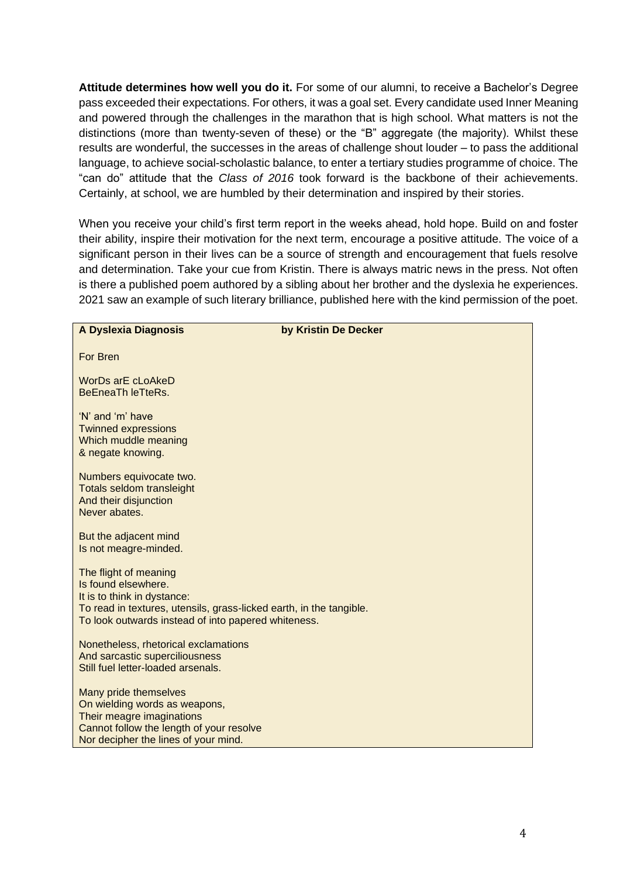**Attitude determines how well you do it.** For some of our alumni, to receive a Bachelor's Degree pass exceeded their expectations. For others, it was a goal set. Every candidate used Inner Meaning and powered through the challenges in the marathon that is high school. What matters is not the distinctions (more than twenty-seven of these) or the "B" aggregate (the majority). Whilst these results are wonderful, the successes in the areas of challenge shout louder – to pass the additional language, to achieve social-scholastic balance, to enter a tertiary studies programme of choice. The "can do" attitude that the *Class of 2016* took forward is the backbone of their achievements. Certainly, at school, we are humbled by their determination and inspired by their stories.

When you receive your child's first term report in the weeks ahead, hold hope. Build on and foster their ability, inspire their motivation for the next term, encourage a positive attitude. The voice of a significant person in their lives can be a source of strength and encouragement that fuels resolve and determination. Take your cue from Kristin. There is always matric news in the press. Not often is there a published poem authored by a sibling about her brother and the dyslexia he experiences. 2021 saw an example of such literary brilliance, published here with the kind permission of the poet.

| A Dyslexia Diagnosis                                                                                                                                                                                      | by Kristin De Decker |
|-----------------------------------------------------------------------------------------------------------------------------------------------------------------------------------------------------------|----------------------|
| For Bren                                                                                                                                                                                                  |                      |
| <b>WorDs arE cLoAkeD</b><br><b>BeEneaTh leTteRs.</b>                                                                                                                                                      |                      |
| 'N' and 'm' have<br><b>Twinned expressions</b><br>Which muddle meaning<br>& negate knowing.                                                                                                               |                      |
| Numbers equivocate two.<br><b>Totals seldom transleight</b><br>And their disjunction<br>Never abates.                                                                                                     |                      |
| But the adjacent mind<br>Is not meagre-minded.                                                                                                                                                            |                      |
| The flight of meaning<br>Is found elsewhere.<br>It is to think in dystance:<br>To read in textures, utensils, grass-licked earth, in the tangible.<br>To look outwards instead of into papered whiteness. |                      |
| Nonetheless, rhetorical exclamations<br>And sarcastic superciliousness<br>Still fuel letter-loaded arsenals.                                                                                              |                      |
| Many pride themselves<br>On wielding words as weapons,<br>Their meagre imaginations<br>Cannot follow the length of your resolve<br>Nor decipher the lines of your mind.                                   |                      |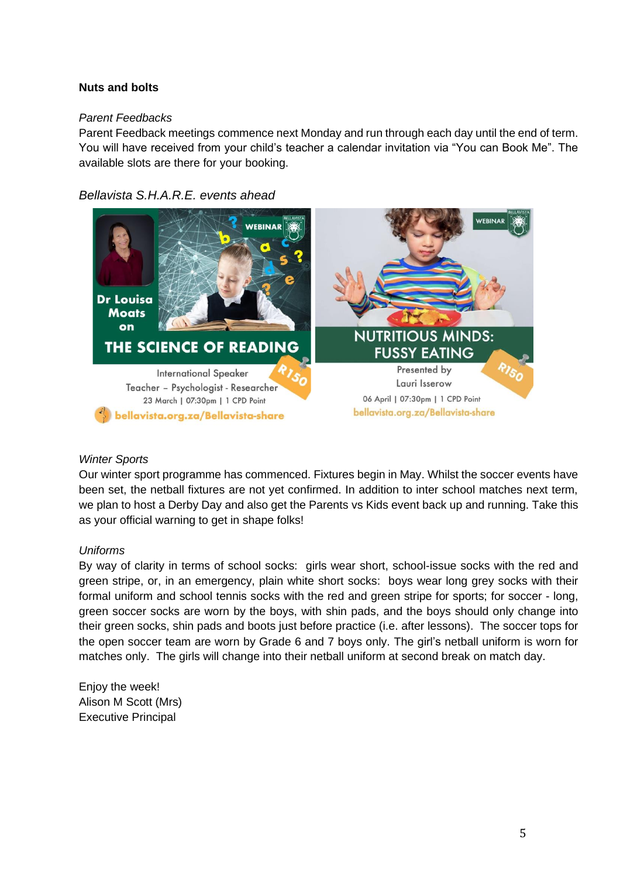## **Nuts and bolts**

## *Parent Feedbacks*

Parent Feedback meetings commence next Monday and run through each day until the end of term. You will have received from your child's teacher a calendar invitation via "You can Book Me". The available slots are there for your booking.

## *Bellavista S.H.A.R.E. events ahead*



#### *Winter Sports*

Our winter sport programme has commenced. Fixtures begin in May. Whilst the soccer events have been set, the netball fixtures are not yet confirmed. In addition to inter school matches next term, we plan to host a Derby Day and also get the Parents vs Kids event back up and running. Take this as your official warning to get in shape folks!

#### *Uniforms*

By way of clarity in terms of school socks: girls wear short, school-issue socks with the red and green stripe, or, in an emergency, plain white short socks: boys wear long grey socks with their formal uniform and school tennis socks with the red and green stripe for sports; for soccer - long, green soccer socks are worn by the boys, with shin pads, and the boys should only change into their green socks, shin pads and boots just before practice (i.e. after lessons). The soccer tops for the open soccer team are worn by Grade 6 and 7 boys only. The girl's netball uniform is worn for matches only. The girls will change into their netball uniform at second break on match day.

Enjoy the week! Alison M Scott (Mrs) Executive Principal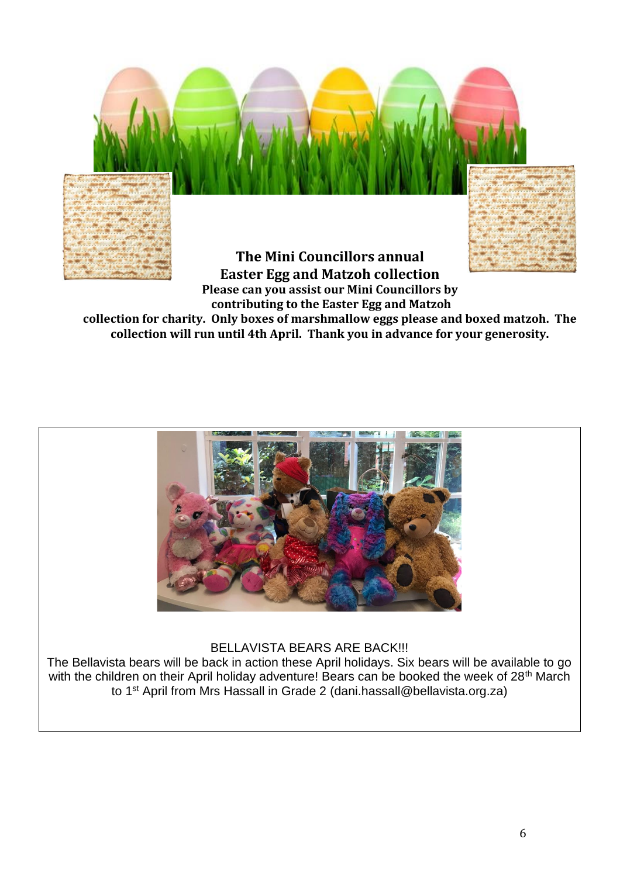

**contributing to the Easter Egg and Matzoh collection for charity. Only boxes of marshmallow eggs please and boxed matzoh. The collection will run until 4th April. Thank you in advance for your generosity.**



BELLAVISTA BEARS ARE BACK!!!

The Bellavista bears will be back in action these April holidays. Six bears will be available to go with the children on their April holiday adventure! Bears can be booked the week of 28<sup>th</sup> March to 1st April from Mrs Hassall in Grade 2 (dani.hassall@bellavista.org.za)